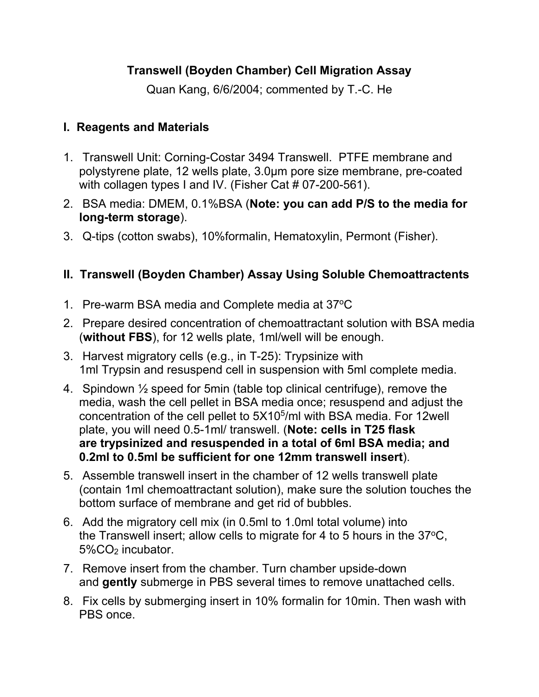## **Transwell (Boyden Chamber) Cell Migration Assay**

Quan Kang, 6/6/2004; commented by T.-C. He

## **I. Reagents and Materials**

- 1. Transwell Unit: Corning-Costar 3494 Transwell. PTFE membrane and polystyrene plate, 12 wells plate, 3.0µm pore size membrane, pre-coated with collagen types I and IV. (Fisher Cat # 07-200-561).
- 2. BSA media: DMEM, 0.1%BSA (**Note: you can add P/S to the media for long-term storage**).
- 3. Q-tips (cotton swabs), 10%formalin, Hematoxylin, Permont (Fisher).

## **II. Transwell (Boyden Chamber) Assay Using Soluble Chemoattractents**

- 1. Pre-warm BSA media and Complete media at 37°C
- 2. Prepare desired concentration of chemoattractant solution with BSA media (**without FBS**), for 12 wells plate, 1ml/well will be enough.
- 3. Harvest migratory cells (e.g., in T-25): Trypsinize with 1ml Trypsin and resuspend cell in suspension with 5ml complete media.
- 4. Spindown ½ speed for 5min (table top clinical centrifuge), remove the media, wash the cell pellet in BSA media once; resuspend and adjust the concentration of the cell pellet to 5X10<sup>5</sup>/ml with BSA media. For 12well plate, you will need 0.5-1ml/ transwell. (**Note: cells in T25 flask are trypsinized and resuspended in a total of 6ml BSA media; and 0.2ml to 0.5ml be sufficient for one 12mm transwell insert**).
- 5. Assemble transwell insert in the chamber of 12 wells transwell plate (contain 1ml chemoattractant solution), make sure the solution touches the bottom surface of membrane and get rid of bubbles.
- 6. Add the migratory cell mix (in 0.5ml to 1.0ml total volume) into the Transwell insert; allow cells to migrate for 4 to 5 hours in the  $37^{\circ}$ C, 5%CO<sub>2</sub> incubator.
- 7. Remove insert from the chamber. Turn chamber upside-down and **gently** submerge in PBS several times to remove unattached cells.
- 8. Fix cells by submerging insert in 10% formalin for 10min. Then wash with PBS once.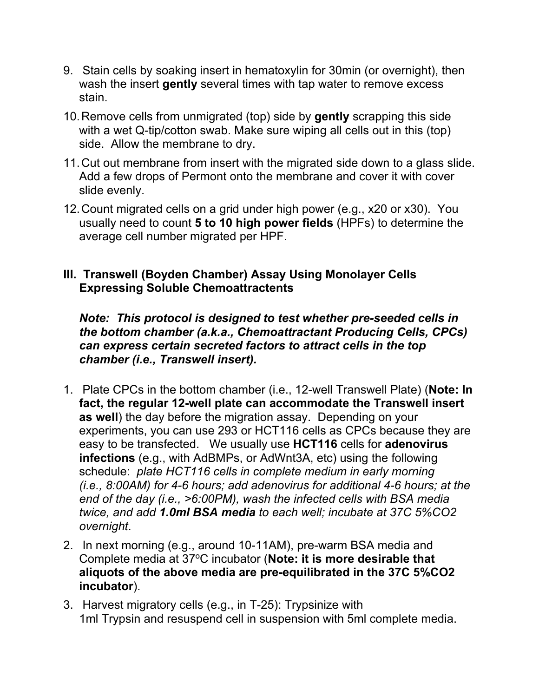- 9. Stain cells by soaking insert in hematoxylin for 30min (or overnight), then wash the insert **gently** several times with tap water to remove excess stain.
- 10.Remove cells from unmigrated (top) side by **gently** scrapping this side with a wet Q-tip/cotton swab. Make sure wiping all cells out in this (top) side. Allow the membrane to dry.
- 11.Cut out membrane from insert with the migrated side down to a glass slide. Add a few drops of Permont onto the membrane and cover it with cover slide evenly.
- 12.Count migrated cells on a grid under high power (e.g., x20 or x30). You usually need to count **5 to 10 high power fields** (HPFs) to determine the average cell number migrated per HPF.

## **III. Transwell (Boyden Chamber) Assay Using Monolayer Cells Expressing Soluble Chemoattractents**

*Note: This protocol is designed to test whether pre-seeded cells in the bottom chamber (a.k.a., Chemoattractant Producing Cells, CPCs) can express certain secreted factors to attract cells in the top chamber (i.e., Transwell insert).*

- 1. Plate CPCs in the bottom chamber (i.e., 12-well Transwell Plate) (**Note: In fact, the regular 12-well plate can accommodate the Transwell insert as well**) the day before the migration assay. Depending on your experiments, you can use 293 or HCT116 cells as CPCs because they are easy to be transfected. We usually use **HCT116** cells for **adenovirus infections** (e.g., with AdBMPs, or AdWnt3A, etc) using the following schedule: *plate HCT116 cells in complete medium in early morning (i.e., 8:00AM) for 4-6 hours; add adenovirus for additional 4-6 hours; at the end of the day (i.e., >6:00PM), wash the infected cells with BSA media twice, and add 1.0ml BSA media to each well; incubate at 37C 5%CO2 overnight*.
- 2. In next morning (e.g., around 10-11AM), pre-warm BSA media and Complete media at 37oC incubator (**Note: it is more desirable that aliquots of the above media are pre-equilibrated in the 37C 5%CO2 incubator**).
- 3. Harvest migratory cells (e.g., in T-25): Trypsinize with 1ml Trypsin and resuspend cell in suspension with 5ml complete media.